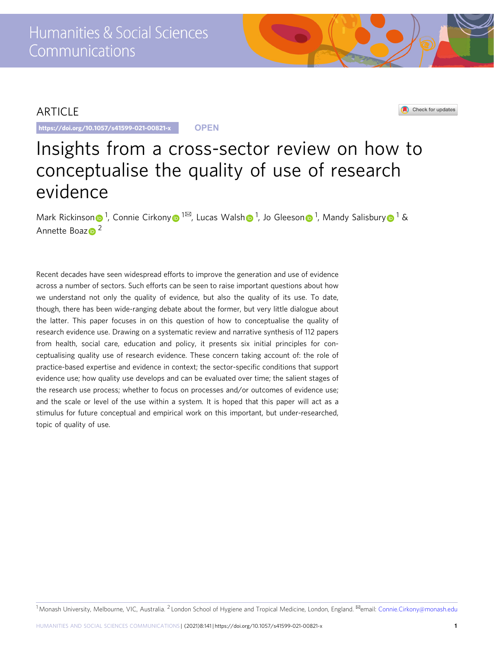## ARTICLE

https://doi.org/10.1057/s41599-021-00821-x **OPEN**

Check for updates

# Insights from a cross-sector review on how to conceptualise the quality of use of research evidence

Mark Ricki[n](http://orcid.org/0000-0002-0977-9482)son⊕<sup>[1](http://orcid.org/0000-0003-1760-5658)</sup>, Connie Cirkon[y](http://orcid.org/0000-0003-1760-5658)⊕<sup>1⊠</sup>, Lucas Wals[h](http://orcid.org/0000-0002-7224-2135)⊕<sup>1</sup>, Jo Gleeson⊕<sup>1</sup>, Mandy Salisbury⊕<sup>1</sup> & Annette Boa[z](http://orcid.org/0000-0003-0557-1294) $\bullet$ <sup>2</sup>

Recent decades have seen widespread efforts to improve the generation and use of evidence across a number of sectors. Such efforts can be seen to raise important questions about how we understand not only the quality of evidence, but also the quality of its use. To date, though, there has been wide-ranging debate about the former, but very little dialogue about the latter. This paper focuses in on this question of how to conceptualise the quality of research evidence use. Drawing on a systematic review and narrative synthesis of 112 papers from health, social care, education and policy, it presents six initial principles for conceptualising quality use of research evidence. These concern taking account of: the role of practice-based expertise and evidence in context; the sector-specific conditions that support evidence use; how quality use develops and can be evaluated over time; the salient stages of the research use process; whether to focus on processes and/or outcomes of evidence use; and the scale or level of the use within a system. It is hoped that this paper will act as a stimulus for future conceptual and empirical work on this important, but under-researched, topic of quality of use.

<sup>1</sup> Monash University, Melbourne, VIC, Australia. <sup>2</sup> London School of Hygiene and Tropical Medicine, London, England. <sup>⊠</sup>email: [Connie.Cirkony@monash.edu](mailto:Connie.Cirkony@monash.edu)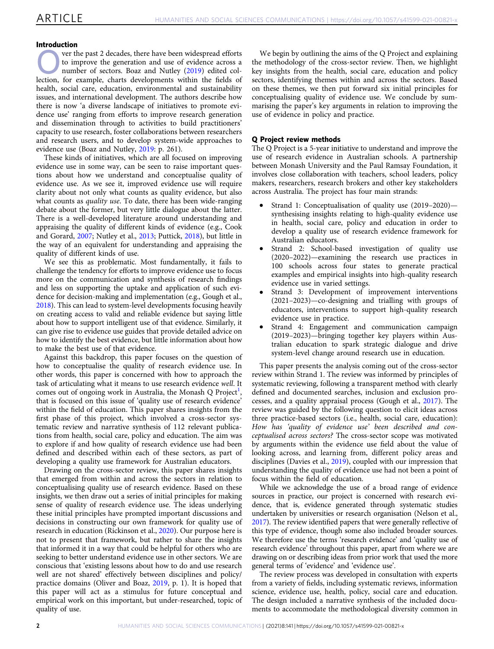#### Introduction

**Over the past 2 decades, there have been widespread efforts**<br>to improve the generation and use of evidence across a<br>to mumber of sectors. Boaz and Nutley (2019) edited colto improve the generation and use of evidence across a number of sectors. Boaz and Nutley ([2019\)](#page-9-0) edited collection, for example, charts developments within the fields of health, social care, education, environmental and sustainability issues, and international development. The authors describe how there is now 'a diverse landscape of initiatives to promote evidence use' ranging from efforts to improve research generation and dissemination through to activities to build practitioners' capacity to use research, foster collaborations between researchers and research users, and to develop system-wide approaches to evidence use (Boaz and Nutley, [2019:](#page-9-0) p. 261).

These kinds of initiatives, which are all focused on improving evidence use in some way, can be seen to raise important questions about how we understand and conceptualise quality of evidence use. As we see it, improved evidence use will require clarity about not only what counts as quality evidence, but also what counts as *quality use*. To date, there has been wide-ranging debate about the former, but very little dialogue about the latter. There is a well-developed literature around understanding and appraising the quality of different kinds of evidence (e.g., Cook and Gorard, [2007](#page-9-0); Nutley et al., [2013;](#page-10-0) Puttick, [2018\)](#page-10-0), but little in the way of an equivalent for understanding and appraising the quality of different kinds of use.

We see this as problematic. Most fundamentally, it fails to challenge the tendency for efforts to improve evidence use to focus more on the communication and synthesis of research findings and less on supporting the uptake and application of such evidence for decision-making and implementation (e.g., Gough et al., [2018\)](#page-9-0). This can lead to system-level developments focusing heavily on creating access to valid and reliable evidence but saying little about how to support intelligent use of that evidence. Similarly, it can give rise to evidence use guides that provide detailed advice on how to identify the best evidence, but little information about how to make the best use of that evidence.

Against this backdrop, this paper focuses on the question of how to conceptualise the quality of research evidence use. In other words, this paper is concerned with how to approach the task of articulating what it means to use research evidence well. It comes out of ongoing work in Australia, the Monash Q Project<sup>1</sup>, that is focused on this issue of 'quality use of research evidence' within the field of education. This paper shares insights from the first phase of this project, which involved a cross-sector systematic review and narrative synthesis of 112 relevant publications from health, social care, policy and education. The aim was to explore if and how quality of research evidence use had been defined and described within each of these sectors, as part of developing a quality use framework for Australian educators.

Drawing on the cross-sector review, this paper shares insights that emerged from within and across the sectors in relation to conceptualising quality use of research evidence. Based on these insights, we then draw out a series of initial principles for making sense of quality of research evidence use. The ideas underlying these initial principles have prompted important discussions and decisions in constructing our own framework for quality use of research in education (Rickinson et al., [2020](#page-10-0)). Our purpose here is not to present that framework, but rather to share the insights that informed it in a way that could be helpful for others who are seeking to better understand evidence use in other sectors. We are conscious that 'existing lessons about how to do and use research well are not shared' effectively between disciplines and policy/ practice domains (Oliver and Boaz, [2019](#page-10-0), p. 1). It is hoped that this paper will act as a stimulus for future conceptual and empirical work on this important, but under-researched, topic of quality of use.

We begin by outlining the aims of the Q Project and explaining the methodology of the cross-sector review. Then, we highlight key insights from the health, social care, education and policy sectors, identifying themes within and across the sectors. Based on these themes, we then put forward six initial principles for conceptualising quality of evidence use. We conclude by summarising the paper's key arguments in relation to improving the use of evidence in policy and practice.

#### Q Project review methods

The Q Project is a 5-year initiative to understand and improve the use of research evidence in Australian schools. A partnership between Monash University and the Paul Ramsay Foundation, it involves close collaboration with teachers, school leaders, policy makers, researchers, research brokers and other key stakeholders across Australia. The project has four main strands:

- Strand 1: Conceptualisation of quality use (2019–2020) synthesising insights relating to high-quality evidence use in health, social care, policy and education in order to develop a quality use of research evidence framework for Australian educators.
- Strand 2: School-based investigation of quality use (2020–2022)—examining the research use practices in 100 schools across four states to generate practical examples and empirical insights into high-quality research evidence use in varied settings.
- Strand 3: Development of improvement interventions (2021–2023)—co-designing and trialling with groups of educators, interventions to support high-quality research evidence use in practice.
- Strand 4: Engagement and communication campaign (2019–2023)—bringing together key players within Australian education to spark strategic dialogue and drive system-level change around research use in education.

This paper presents the analysis coming out of the cross-sector review within Strand 1. The review was informed by principles of systematic reviewing, following a transparent method with clearly defined and documented searches, inclusion and exclusion processes, and a quality appraisal process (Gough et al., [2017](#page-9-0)). The review was guided by the following question to elicit ideas across three practice-based sectors (i.e., health, social care, education): How has 'quality of evidence use' been described and conceptualised across sectors? The cross-sector scope was motivated by arguments within the evidence use field about the value of looking across, and learning from, different policy areas and disciplines (Davies et al., [2019](#page-9-0)), coupled with our impression that understanding the quality of evidence use had not been a point of focus within the field of education.

While we acknowledge the use of a broad range of evidence sources in practice, our project is concerned with research evidence, that is, evidence generated through systematic studies undertaken by universities or research organisation (Nelson et al., [2017](#page-10-0)). The review identified papers that were generally reflective of this type of evidence, though some also included broader sources. We therefore use the terms 'research evidence' and 'quality use of research evidence' throughout this paper, apart from where we are drawing on or describing ideas from prior work that used the more general terms of 'evidence' and 'evidence use'.

The review process was developed in consultation with experts from a variety of fields, including systematic reviews, information science, evidence use, health, policy, social care and education. The design included a narrative synthesis of the included documents to accommodate the methodological diversity common in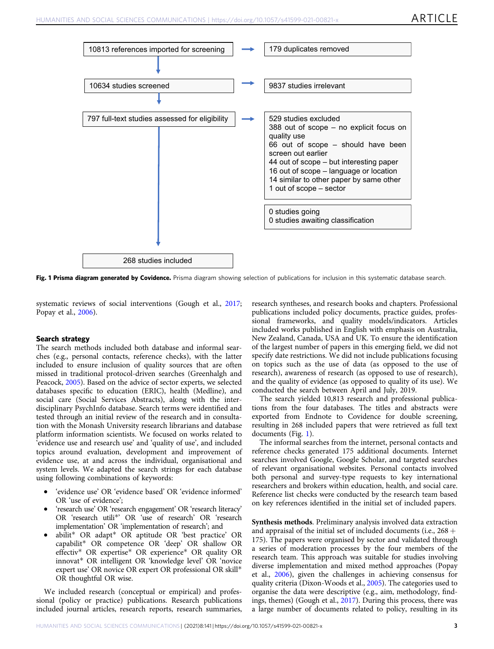

Fig. 1 Prisma diagram generated by Covidence. Prisma diagram showing selection of publications for inclusion in this systematic database search.

systematic reviews of social interventions (Gough et al., [2017;](#page-9-0) Popay et al., [2006](#page-10-0)).

#### Search strategy

The search methods included both database and informal searches (e.g., personal contacts, reference checks), with the latter included to ensure inclusion of quality sources that are often missed in traditional protocol-driven searches (Greenhalgh and Peacock, [2005](#page-10-0)). Based on the advice of sector experts, we selected databases specific to education (ERIC), health (Medline), and social care (Social Services Abstracts), along with the interdisciplinary PsychInfo database. Search terms were identified and tested through an initial review of the research and in consultation with the Monash University research librarians and database platform information scientists. We focused on works related to 'evidence use and research use' and 'quality of use', and included topics around evaluation, development and improvement of evidence use, at and across the individual, organisational and system levels. We adapted the search strings for each database using following combinations of keywords:

- 'evidence use' OR 'evidence based' OR 'evidence informed' OR 'use of evidence';
- 'research use' OR 'research engagement' OR 'research literacy' OR 'research utili\*' OR 'use of research' OR 'research implementation' OR 'implementation of research'; and
- abilit\* OR adapt\* OR aptitude OR 'best practice' OR capabilit\* OR competence OR 'deep' OR shallow OR effectiv\* OR expertise\* OR experience\* OR quality OR innovat\* OR intelligent OR 'knowledge level' OR 'novice expert use' OR novice OR expert OR professional OR skill\* OR thoughtful OR wise.

We included research (conceptual or empirical) and professional (policy or practice) publications. Research publications included journal articles, research reports, research summaries,

research syntheses, and research books and chapters. Professional publications included policy documents, practice guides, professional frameworks, and quality models/indicators. Articles included works published in English with emphasis on Australia, New Zealand, Canada, USA and UK. To ensure the identification of the largest number of papers in this emerging field, we did not specify date restrictions. We did not include publications focusing on topics such as the use of data (as opposed to the use of research), awareness of research (as opposed to use of research), and the quality of evidence (as opposed to quality of its use). We conducted the search between April and July, 2019.

The search yielded 10,813 research and professional publications from the four databases. The titles and abstracts were exported from Endnote to Covidence for double screening, resulting in 268 included papers that were retrieved as full text documents (Fig. 1).

The informal searches from the internet, personal contacts and reference checks generated 175 additional documents. Internet searches involved Google, Google Scholar, and targeted searches of relevant organisational websites. Personal contacts involved both personal and survey-type requests to key international researchers and brokers within education, health, and social care. Reference list checks were conducted by the research team based on key references identified in the initial set of included papers.

Synthesis methods. Preliminary analysis involved data extraction and appraisal of the initial set of included documents (i.e.,  $268 +$ 175). The papers were organised by sector and validated through a series of moderation processes by the four members of the research team. This approach was suitable for studies involving diverse implementation and mixed method approaches (Popay et al., [2006\)](#page-10-0), given the challenges in achieving consensus for quality criteria (Dixon-Woods et al., [2005](#page-9-0)). The categories used to organise the data were descriptive (e.g., aim, methodology, findings, themes) (Gough et al., [2017\)](#page-9-0). During this process, there was a large number of documents related to policy, resulting in its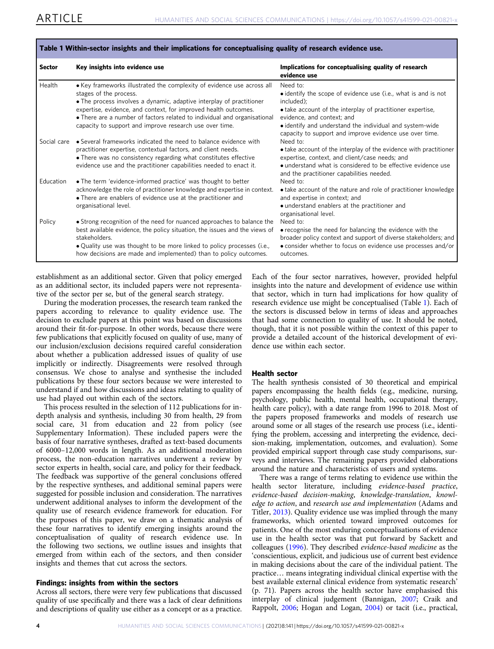<span id="page-3-0"></span>

| Sector      | Key insights into evidence use                                                                                                                                                                         | Implications for conceptualising quality of research<br>evidence use                                                                                                                                                             |
|-------------|--------------------------------------------------------------------------------------------------------------------------------------------------------------------------------------------------------|----------------------------------------------------------------------------------------------------------------------------------------------------------------------------------------------------------------------------------|
| Health      | • Key frameworks illustrated the complexity of evidence use across all<br>stages of the process.<br>• The process involves a dynamic, adaptive interplay of practitioner                               | Need to:<br>• identify the scope of evidence use (i.e., what is and is not<br>included):                                                                                                                                         |
|             | expertise, evidence, and context, for improved health outcomes.<br>• There are a number of factors related to individual and organisational<br>capacity to support and improve research use over time. | • take account of the interplay of practitioner expertise,<br>evidence, and context; and<br>• identify and understand the individual and system-wide                                                                             |
| Social care | • Several frameworks indicated the need to balance evidence with                                                                                                                                       | capacity to support and improve evidence use over time.<br>Need to:                                                                                                                                                              |
|             | practitioner expertise, contextual factors, and client needs.<br>• There was no consistency regarding what constitutes effective<br>evidence use and the practitioner capabilities needed to enact it. | • take account of the interplay of the evidence with practitioner<br>expertise, context, and client/case needs; and<br>• understand what is considered to be effective evidence use<br>and the practitioner capabilities needed. |
| Education   | • The term 'evidence-informed practice' was thought to better                                                                                                                                          | Need to:                                                                                                                                                                                                                         |
|             | acknowledge the role of practitioner knowledge and expertise in context.<br>• There are enablers of evidence use at the practitioner and                                                               | • take account of the nature and role of practitioner knowledge<br>and expertise in context; and                                                                                                                                 |
|             | organisational level.                                                                                                                                                                                  | • understand enablers at the practitioner and<br>organisational level.                                                                                                                                                           |
| Policy      | • Strong recognition of the need for nuanced approaches to balance the<br>best available evidence, the policy situation, the issues and the views of<br>stakeholders.                                  | Need to:<br>• recognise the need for balancing the evidence with the<br>broader policy context and support of diverse stakeholders; and                                                                                          |
|             | • Quality use was thought to be more linked to policy processes (i.e.,<br>how decisions are made and implemented) than to policy outcomes.                                                             | • consider whether to focus on evidence use processes and/or<br>outcomes.                                                                                                                                                        |

Table 1 Within-sector insights and their implications for conceptualising quality of research evidence use.

establishment as an additional sector. Given that policy emerged as an additional sector, its included papers were not representative of the sector per se, but of the general search strategy.

During the moderation processes, the research team ranked the papers according to relevance to quality evidence use. The decision to exclude papers at this point was based on discussions around their fit-for-purpose. In other words, because there were few publications that explicitly focused on quality of use, many of our inclusion/exclusion decisions required careful consideration about whether a publication addressed issues of quality of use implicitly or indirectly. Disagreements were resolved through consensus. We chose to analyse and synthesise the included publications by these four sectors because we were interested to understand if and how discussions and ideas relating to quality of use had played out within each of the sectors.

This process resulted in the selection of 112 publications for indepth analysis and synthesis, including 30 from health, 29 from social care, 31 from education and 22 from policy (see Supplementary Information). These included papers were the basis of four narrative syntheses, drafted as text-based documents of 6000–12,000 words in length. As an additional moderation process, the non-education narratives underwent a review by sector experts in health, social care, and policy for their feedback. The feedback was supportive of the general conclusions offered by the respective syntheses, and additional seminal papers were suggested for possible inclusion and consideration. The narratives underwent additional analyses to inform the development of the quality use of research evidence framework for education. For the purposes of this paper, we draw on a thematic analysis of these four narratives to identify emerging insights around the conceptualisation of quality of research evidence use. In the following two sections, we outline issues and insights that emerged from within each of the sectors, and then consider insights and themes that cut across the sectors.

#### Findings: insights from within the sectors

Across all sectors, there were very few publications that discussed quality of use specifically and there was a lack of clear definitions and descriptions of quality use either as a concept or as a practice. Each of the four sector narratives, however, provided helpful insights into the nature and development of evidence use within that sector, which in turn had implications for how quality of research evidence use might be conceptualised (Table 1). Each of the sectors is discussed below in terms of ideas and approaches that had some connection to quality of use. It should be noted, though, that it is not possible within the context of this paper to provide a detailed account of the historical development of evidence use within each sector.

#### Health sector

The health synthesis consisted of 30 theoretical and empirical papers encompassing the health fields (e.g., medicine, nursing, psychology, public health, mental health, occupational therapy, health care policy), with a date range from 1996 to 2018. Most of the papers proposed frameworks and models of research use around some or all stages of the research use process (i.e., identifying the problem, accessing and interpreting the evidence, decision-making, implementation, outcomes, and evaluation). Some provided empirical support through case study comparisons, surveys and interviews. The remaining papers provided elaborations around the nature and characteristics of users and systems.

There was a range of terms relating to evidence use within the health sector literature, including evidence-based practice, evidence-based decision-making, knowledge-translation, knowledge to action, and research use and implementation (Adams and Titler, [2013](#page-8-0)). Quality evidence use was implied through the many frameworks, which oriented toward improved outcomes for patients. One of the most enduring conceptualisations of evidence use in the health sector was that put forward by Sackett and colleagues ([1996](#page-10-0)). They described evidence-based medicine as the 'conscientious, explicit, and judicious use of current best evidence in making decisions about the care of the individual patient. The practice… means integrating individual clinical expertise with the best available external clinical evidence from systematic research' (p. 71). Papers across the health sector have emphasised this interplay of clinical judgement (Bannigan, [2007](#page-9-0); Craik and Rappolt, [2006](#page-9-0); Hogan and Logan, [2004](#page-10-0)) or tacit (i.e., practical,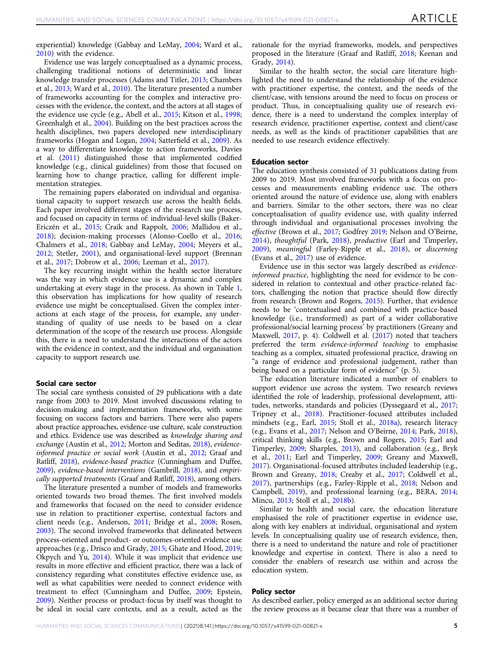experiential) knowledge (Gabbay and LeMay, [2004](#page-9-0); Ward et al., [2010\)](#page-10-0) with the evidence.

Evidence use was largely conceptualised as a dynamic process, challenging traditional notions of deterministic and linear knowledge transfer processes (Adams and Titler, [2013](#page-8-0); Chambers et al., [2013](#page-9-0); Ward et al., [2010\)](#page-10-0). The literature presented a number of frameworks accounting for the complex and interactive processes with the evidence, the context, and the actors at all stages of the evidence use cycle (e.g., Abell et al., [2015](#page-8-0); Kitson et al., [1998;](#page-10-0) Greenhalgh et al., [2004](#page-10-0)). Building on the best practices across the health disciplines, two papers developed new interdisciplinary frameworks (Hogan and Logan, [2004](#page-10-0); Satterfield et al., [2009](#page-10-0)). As a way to differentiate knowledge to action frameworks, Davies et al. [\(2011\)](#page-9-0) distinguished those that implemented codified knowledge (e.g., clinical guidelines) from those that focused on learning how to change practice, calling for different implementation strategies.

The remaining papers elaborated on individual and organisational capacity to support research use across the health fields. Each paper involved different stages of the research use process, and focused on capacity in terms of: individual-level skills (Baker-Ericzén et al., [2015](#page-8-0); Craik and Rappolt, [2006;](#page-9-0) Mallidou et al., [2018\)](#page-10-0); decision-making processes (Alonso-Coello et al., [2016;](#page-8-0) Chalmers et al., [2018;](#page-9-0) Gabbay and LeMay, [2004](#page-9-0); Meyers et al., [2012;](#page-10-0) Stetler, [2001](#page-10-0)), and organisational-level support (Brennan et al., [2017](#page-9-0); Dobrow et al., [2006;](#page-9-0) Leeman et al., [2017\)](#page-10-0).

The key recurring insight within the health sector literature was the way in which evidence use is a dynamic and complex undertaking at every stage in the process. As shown in Table [1,](#page-3-0) this observation has implications for how quality of research evidence use might be conceptualised. Given the complex interactions at each stage of the process, for example, any understanding of quality of use needs to be based on a clear determination of the scope of the research use process. Alongside this, there is a need to understand the interactions of the actors with the evidence in context, and the individual and organisation capacity to support research use.

#### Social care sector

The social care synthesis consisted of 29 publications with a date range from 2003 to 2019. Most involved discussions relating to decision-making and implementation frameworks, with some focusing on success factors and barriers. There were also papers about practice approaches, evidence-use culture, scale construction and ethics. Evidence use was described as knowledge sharing and exchange (Austin et al., [2012;](#page-8-0) Morton and Seditas, [2018](#page-10-0)), evidence-informed practice or social work (Austin et al., [2012;](#page-8-0) Graaf and Ratliff, [2018](#page-10-0)), evidence-based practice (Cunningham and Duffee, [2009](#page-9-0)), evidence-based interventions (Gambrill, [2018](#page-9-0)), and empirically supported treatments (Graaf and Ratliff, [2018\)](#page-10-0), among others.

The literature presented a number of models and frameworks oriented towards two broad themes. The first involved models and frameworks that focused on the need to consider evidence use in relation to practitioner expertise, contextual factors and client needs (e.g., Anderson, [2011](#page-8-0); Bridge et al., [2008;](#page-9-0) Rosen, [2003\)](#page-10-0). The second involved frameworks that delineated between process-oriented and product- or outcomes-oriented evidence use approaches (e.g., Drisco and Grady, [2015](#page-9-0); Ghate and Hood, [2019;](#page-9-0) Okpych and Yu, [2014\)](#page-10-0). While it was implicit that evidence use results in more effective and efficient practice, there was a lack of consistency regarding what constitutes effective evidence use, as well as what capabilities were needed to connect evidence with treatment to effect (Cunningham and Duffee, [2009;](#page-9-0) Epstein, [2009\)](#page-9-0). Neither process or product-focus by itself was thought to be ideal in social care contexts, and as a result, acted as the rationale for the myriad frameworks, models, and perspectives proposed in the literature (Graaf and Ratliff, [2018;](#page-10-0) Keenan and Grady, [2014\)](#page-10-0).

Similar to the health sector, the social care literature highlighted the need to understand the relationship of the evidence with practitioner expertise, the context, and the needs of the client/case, with tensions around the need to focus on process or product. Thus, in conceptualising quality use of research evidence, there is a need to understand the complex interplay of research evidence, practitioner expertise, context and client/case needs, as well as the kinds of practitioner capabilities that are needed to use research evidence effectively.

#### Education sector

The education synthesis consisted of 31 publications dating from 2009 to 2019. Most involved frameworks with a focus on processes and measurements enabling evidence use. The others oriented around the nature of evidence use, along with enablers and barriers. Similar to the other sectors, there was no clear conceptualisation of quality evidence use, with quality inferred through individual and organisational processes involving the effective (Brown et al., [2017](#page-9-0); Godfrey [2019;](#page-9-0) Nelson and O'Beirne, [2014\)](#page-10-0), thoughtful (Park, [2018](#page-10-0)), productive (Earl and Timperley, [2009\)](#page-9-0), meaningful (Farley-Ripple et al., [2018\)](#page-9-0), or discerning (Evans et al., [2017](#page-9-0)) use of evidence.

Evidence use in this sector was largely described as evidenceinformed practice, highlighting the need for evidence to be considered in relation to contextual and other practice-related factors, challenging the notion that practice should flow directly from research (Brown and Rogers, [2015](#page-9-0)). Further, that evidence needs to be 'contextualised and combined with practice-based knowledge (i.e., transformed) as part of a wider collaborative professional/social learning process' by practitioners (Greany and Maxwell, [2017](#page-10-0), p. 4). Coldwell et al. [\(2017](#page-9-0)) noted that teachers preferred the term evidence-informed teaching to emphasise teaching as a complex, situated professional practice, drawing on "a range of evidence and professional judgement, rather than being based on a particular form of evidence" (p. 5).

The education literature indicated a number of enablers to support evidence use across the system. Two research reviews identified the role of leadership, professional development, attitudes, networks, standards and policies (Dyssegaard et al., [2017;](#page-9-0) Tripney et al., [2018](#page-10-0)). Practitioner-focused attributes included mindsets (e.g., Earl, [2015](#page-9-0); Stoll et al., [2018a\)](#page-10-0), research literacy (e.g., Evans et al., [2017;](#page-9-0) Nelson and O'Beirne, [2014](#page-10-0); Park, [2018](#page-10-0)), critical thinking skills (e.g., Brown and Rogers, [2015;](#page-9-0) Earl and Timperley, [2009](#page-9-0); Sharples, [2013\)](#page-10-0), and collaboration (e.g., Bryk et al., [2011;](#page-9-0) Earl and Timperley, [2009](#page-9-0); Greany and Maxwell, [2017\)](#page-10-0). Organisational-focused attributes included leadership (e.g., Brown and Greany, [2018;](#page-9-0) Creaby et al., [2017;](#page-9-0) Coldwell et al., [2017\)](#page-9-0), partnerships (e.g., Farley-Ripple et al., [2018](#page-9-0); Nelson and Campbell, [2019\)](#page-10-0), and professional learning (e.g., BERA, [2014;](#page-9-0) Mincu, [2013;](#page-10-0) Stoll et al., [2018b\)](#page-10-0).

Similar to health and social care, the education literature emphasised the role of practitioner expertise in evidence use, along with key enablers at individual, organisational and system levels. In conceptualising quality use of research evidence, then, there is a need to understand the nature and role of practitioner knowledge and expertise in context. There is also a need to consider the enablers of research use within and across the education system.

#### Policy sector

As described earlier, policy emerged as an additional sector during the review process as it became clear that there was a number of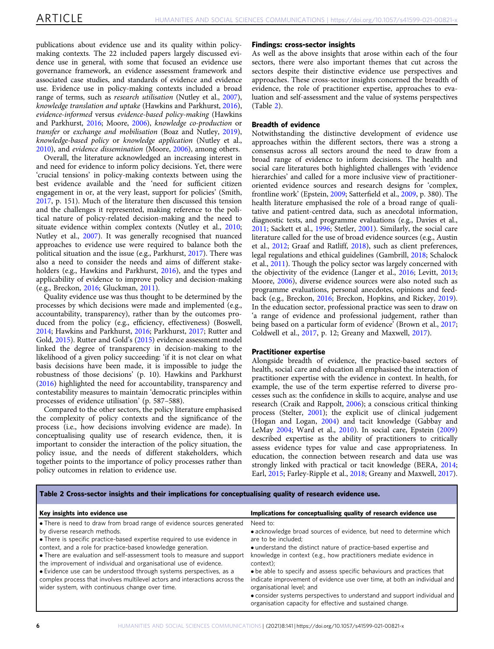<span id="page-5-0"></span>publications about evidence use and its quality within policymaking contexts. The 22 included papers largely discussed evidence use in general, with some that focused an evidence use governance framework, an evidence assessment framework and associated case studies, and standards of evidence and evidence use. Evidence use in policy-making contexts included a broad range of terms, such as *research utilisation* (Nutley et al., [2007](#page-10-0)), knowledge translation and uptake (Hawkins and Parkhurst, [2016](#page-10-0)), evidence-informed versus evidence-based policy-making (Hawkins and Parkhurst, [2016](#page-10-0); Moore, [2006](#page-10-0)), knowledge co-production or transfer or exchange and mobilisation (Boaz and Nutley, [2019](#page-9-0)), knowledge-based policy or knowledge application (Nutley et al., [2010\)](#page-10-0), and evidence dissemination (Moore, [2006\)](#page-10-0), among others.

Overall, the literature acknowledged an increasing interest in and need for evidence to inform policy decisions. Yet, there were 'crucial tensions' in policy-making contexts between using the best evidence available and the 'need for sufficient citizen engagement in or, at the very least, support for policies' (Smith, [2017,](#page-10-0) p. 151). Much of the literature then discussed this tension and the challenges it represented, making reference to the political nature of policy-related decision-making and the need to situate evidence within complex contexts (Nutley et al., [2010;](#page-10-0) Nutley et al., [2007](#page-10-0)). It was generally recognised that nuanced approaches to evidence use were required to balance both the political situation and the issue (e.g., Parkhurst, [2017\)](#page-10-0). There was also a need to consider the needs and aims of different stakeholders (e.g., Hawkins and Parkhurst, [2016](#page-10-0)), and the types and applicability of evidence to improve policy and decision-making (e.g., Breckon, [2016](#page-9-0); Gluckman, [2011](#page-9-0)).

Quality evidence use was thus thought to be determined by the processes by which decisions were made and implemented (e.g., accountability, transparency), rather than by the outcomes produced from the policy (e.g., efficiency, effectiveness) (Boswell, [2014;](#page-9-0) Hawkins and Parkhurst, [2016](#page-10-0); Parkhurst, [2017;](#page-10-0) Rutter and Gold, [2015\)](#page-10-0). Rutter and Gold's [\(2015](#page-10-0)) evidence assessment model linked the degree of transparency in decision-making to the likelihood of a given policy succeeding: 'if it is not clear on what basis decisions have been made, it is impossible to judge the robustness of those decisions' (p. 10). Hawkins and Parkhurst ([2016\)](#page-10-0) highlighted the need for accountability, transparency and contestability measures to maintain 'democratic principles within processes of evidence utilisation' (p. 587–588).

Compared to the other sectors, the policy literature emphasised the complexity of policy contexts and the significance of the process (i.e., how decisions involving evidence are made). In conceptualising quality use of research evidence, then, it is important to consider the interaction of the policy situation, the policy issue, and the needs of different stakeholders, which together points to the importance of policy processes rather than policy outcomes in relation to evidence use.

#### Findings: cross-sector insights

As well as the above insights that arose within each of the four sectors, there were also important themes that cut across the sectors despite their distinctive evidence use perspectives and approaches. These cross-sector insights concerned the breadth of evidence, the role of practitioner expertise, approaches to evaluation and self-assessment and the value of systems perspectives (Table 2).

#### Breadth of evidence

Notwithstanding the distinctive development of evidence use approaches within the different sectors, there was a strong a consensus across all sectors around the need to draw from a broad range of evidence to inform decisions. The health and social care literatures both highlighted challenges with 'evidence hierarchies' and called for a more inclusive view of practitioneroriented evidence sources and research designs for 'complex, frontline work' (Epstein, [2009](#page-9-0); Satterfield et al., [2009,](#page-10-0) p. 380). The health literature emphasised the role of a broad range of qualitative and patient-centred data, such as anecdotal information, diagnostic tests, and programme evaluations (e.g., Davies et al., [2011;](#page-9-0) Sackett et al., [1996](#page-10-0); Stetler, [2001](#page-10-0)). Similarly, the social care literature called for the use of broad evidence sources (e.g., Austin et al., [2012](#page-8-0); Graaf and Ratliff, [2018](#page-10-0)), such as client preferences, legal regulations and ethical guidelines (Gambrill, [2018;](#page-9-0) Schalock et al., [2011](#page-10-0)). Though the policy sector was largely concerned with the objectivity of the evidence (Langer et al., [2016;](#page-10-0) Levitt, [2013;](#page-10-0) Moore, [2006\)](#page-10-0), diverse evidence sources were also noted such as programme evaluations, personal anecdotes, opinions and feedback (e.g., Breckon, [2016](#page-9-0); Breckon, Hopkins, and Rickey, [2019](#page-9-0)). In the education sector, professional practice was seen to draw on 'a range of evidence and professional judgement, rather than being based on a particular form of evidence' (Brown et al., [2017;](#page-9-0) Coldwell et al., [2017,](#page-9-0) p. 12; Greany and Maxwell, [2017](#page-10-0)).

#### Practitioner expertise

Alongside breadth of evidence, the practice-based sectors of health, social care and education all emphasised the interaction of practitioner expertise with the evidence in context. In health, for example, the use of the term expertise referred to diverse processes such as: the confidence in skills to acquire, analyse and use research (Craik and Rappolt, [2006\)](#page-9-0); a conscious critical thinking process (Stelter, [2001](#page-10-0)); the explicit use of clinical judgement (Hogan and Logan, [2004\)](#page-10-0) and tacit knowledge (Gabbay and LeMay [2004;](#page-9-0) Ward et al., [2010\)](#page-10-0). In social care, Epstein [\(2009](#page-9-0)) described expertise as the ability of practitioners to critically assess evidence types for value and case appropriateness. In education, the connection between research and data use was strongly linked with practical or tacit knowledge (BERA, [2014;](#page-9-0) Earl, [2015;](#page-9-0) Farley-Ripple et al., [2018](#page-9-0); Greany and Maxwell, [2017](#page-10-0)).

Table 2 Cross-sector insights and their implications for conceptualising quality of research evidence use.

| Key insights into evidence use                                                                                                                                                                                                                                                                                                                                                                                                                                                                                                                                                                              | Implications for conceptualising quality of research evidence use                                                                                                                                                                                                                                                                                                                                                                                                                                                                                                                          |
|-------------------------------------------------------------------------------------------------------------------------------------------------------------------------------------------------------------------------------------------------------------------------------------------------------------------------------------------------------------------------------------------------------------------------------------------------------------------------------------------------------------------------------------------------------------------------------------------------------------|--------------------------------------------------------------------------------------------------------------------------------------------------------------------------------------------------------------------------------------------------------------------------------------------------------------------------------------------------------------------------------------------------------------------------------------------------------------------------------------------------------------------------------------------------------------------------------------------|
| • There is need to draw from broad range of evidence sources generated<br>by diverse research methods.<br>• There is specific practice-based expertise required to use evidence in<br>context, and a role for practice-based knowledge generation.<br>• There are evaluation and self-assessment tools to measure and support<br>the improvement of individual and organisational use of evidence.<br>• Evidence use can be understood through systems perspectives, as a<br>complex process that involves multilevel actors and interactions across the<br>wider system, with continuous change over time. | Need to:<br>• acknowledge broad sources of evidence, but need to determine which<br>are to be included;<br>• understand the distinct nature of practice-based expertise and<br>knowledge in context (e.g., how practitioners mediate evidence in<br>context);<br>• be able to specify and assess specific behaviours and practices that<br>indicate improvement of evidence use over time, at both an individual and<br>organisational level; and<br>• consider systems perspectives to understand and support individual and<br>organisation capacity for effective and sustained change. |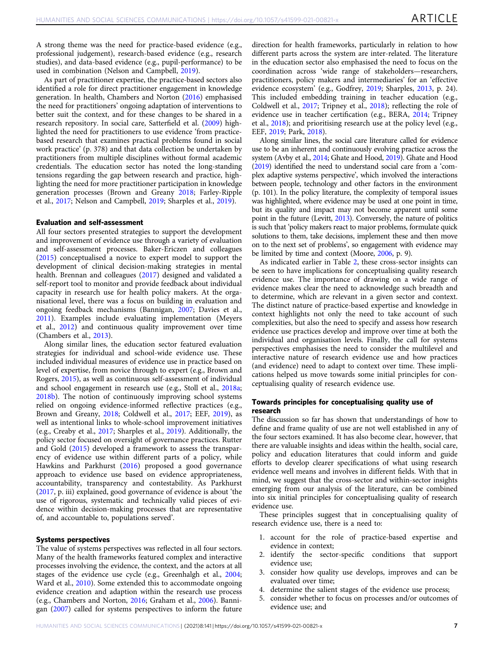A strong theme was the need for practice-based evidence (e.g., professional judgement), research-based evidence (e.g., research studies), and data-based evidence (e.g., pupil-performance) to be used in combination (Nelson and Campbell, [2019\)](#page-10-0).

As part of practitioner expertise, the practice-based sectors also identified a role for direct practitioner engagement in knowledge generation. In health, Chambers and Norton [\(2016](#page-9-0)) emphasised the need for practitioners' ongoing adaptation of interventions to better suit the context, and for these changes to be shared in a research repository. In social care, Satterfield et al. ([2009\)](#page-10-0) highlighted the need for practitioners to use evidence 'from practicebased research that examines practical problems found in social work practice' (p. 378) and that data collection be undertaken by practitioners from multiple disciplines without formal academic credentials. The education sector has noted the long-standing tensions regarding the gap between research and practice, highlighting the need for more practitioner participation in knowledge generation processes (Brown and Greany [2018](#page-9-0); Farley-Ripple et al., [2017](#page-9-0); Nelson and Campbell, [2019;](#page-10-0) Sharples et al., [2019](#page-10-0)).

#### Evaluation and self-assessment

All four sectors presented strategies to support the development and improvement of evidence use through a variety of evaluation and self-assessment processes. Baker-Ericzen and colleagues ([2015\)](#page-8-0) conceptualised a novice to expert model to support the development of clinical decision-making strategies in mental health. Brennan and colleagues ([2017](#page-9-0)) designed and validated a self-report tool to monitor and provide feedback about individual capacity in research use for health policy makers. At the organisational level, there was a focus on building in evaluation and ongoing feedback mechanisms (Bannigan, [2007;](#page-9-0) Davies et al., [2011\)](#page-9-0). Examples include evaluating implementation (Meyers et al., [2012\)](#page-10-0) and continuous quality improvement over time (Chambers et al., [2013\)](#page-9-0).

Along similar lines, the education sector featured evaluation strategies for individual and school-wide evidence use. These included individual measures of evidence use in practice based on level of expertise, from novice through to expert (e.g., Brown and Rogers, [2015](#page-9-0)), as well as continuous self-assessment of individual and school engagement in research use (e.g., Stoll et al., [2018a;](#page-10-0) [2018b](#page-10-0)). The notion of continuously improving school systems relied on ongoing evidence-informed reflective practices (e.g., Brown and Greany, [2018;](#page-9-0) Coldwell et al., [2017](#page-9-0); EEF, [2019\)](#page-9-0), as well as intentional links to whole-school improvement initiatives (e.g., Creaby et al., [2017;](#page-9-0) Sharples et al., [2019\)](#page-10-0). Additionally, the policy sector focused on oversight of governance practices. Rutter and Gold ([2015\)](#page-10-0) developed a framework to assess the transparency of evidence use within different parts of a policy, while Hawkins and Parkhurst ([2016\)](#page-10-0) proposed a good governance approach to evidence use based on evidence appropriateness, accountability, transparency and contestability. As Parkhurst ([2017,](#page-10-0) p. iii) explained, good governance of evidence is about 'the use of rigorous, systematic and technically valid pieces of evidence within decision-making processes that are representative of, and accountable to, populations served'.

#### Systems perspectives

The value of systems perspectives was reflected in all four sectors. Many of the health frameworks featured complex and interactive processes involving the evidence, the context, and the actors at all stages of the evidence use cycle (e.g., Greenhalgh et al., [2004;](#page-10-0) Ward et al., [2010](#page-10-0)). Some extended this to accommodate ongoing evidence creation and adaption within the research use process (e.g., Chambers and Norton, [2016](#page-9-0); Graham et al., [2006](#page-10-0)). Bannigan [\(2007](#page-9-0)) called for systems perspectives to inform the future direction for health frameworks, particularly in relation to how different parts across the system are inter-related. The literature in the education sector also emphasised the need to focus on the coordination across 'wide range of stakeholders—researchers, practitioners, policy makers and intermediaries' for an 'effective evidence ecosystem' (e.g., Godfrey, [2019;](#page-9-0) Sharples, [2013](#page-10-0), p. 24). This included embedding training in teacher education (e.g., Coldwell et al., [2017;](#page-9-0) Tripney et al., [2018\)](#page-10-0); reflecting the role of evidence use in teacher certification (e.g., BERA, [2014;](#page-9-0) Tripney et al., [2018\)](#page-10-0); and prioritising research use at the policy level (e.g., EEF, [2019;](#page-9-0) Park, [2018\)](#page-10-0).

Along similar lines, the social care literature called for evidence use to be an inherent and continuously evolving practice across the system (Avby et al., [2014;](#page-8-0) Ghate and Hood, [2019\)](#page-9-0). Ghate and Hood ([2019](#page-9-0)) identified the need to understand social care from a 'complex adaptive systems perspective', which involved the interactions between people, technology and other factors in the environment (p. 101). In the policy literature, the complexity of temporal issues was highlighted, where evidence may be used at one point in time, but its quality and impact may not become apparent until some point in the future (Levitt, [2013](#page-10-0)). Conversely, the nature of politics is such that 'policy makers react to major problems, formulate quick solutions to them, take decisions, implement these and then move on to the next set of problems', so engagement with evidence may be limited by time and context (Moore, [2006,](#page-10-0) p. 9).

As indicated earlier in Table [2,](#page-5-0) these cross-sector insights can be seen to have implications for conceptualising quality research evidence use. The importance of drawing on a wide range of evidence makes clear the need to acknowledge such breadth and to determine, which are relevant in a given sector and context. The distinct nature of practice-based expertise and knowledge in context highlights not only the need to take account of such complexities, but also the need to specify and assess how research evidence use practices develop and improve over time at both the individual and organisation levels. Finally, the call for systems perspectives emphasises the need to consider the multilevel and interactive nature of research evidence use and how practices (and evidence) need to adapt to context over time. These implications helped us move towards some initial principles for conceptualising quality of research evidence use.

#### Towards principles for conceptualising quality use of research

The discussion so far has shown that understandings of how to define and frame quality of use are not well established in any of the four sectors examined. It has also become clear, however, that there are valuable insights and ideas within the health, social care, policy and education literatures that could inform and guide efforts to develop clearer specifications of what using research evidence well means and involves in different fields. With that in mind, we suggest that the cross-sector and within-sector insights emerging from our analysis of the literature, can be combined into six initial principles for conceptualising quality of research evidence use.

These principles suggest that in conceptualising quality of research evidence use, there is a need to:

- 1. account for the role of practice-based expertise and evidence in context;
- 2. identify the sector-specific conditions that support evidence use;
- 3. consider how quality use develops, improves and can be evaluated over time;
- 4. determine the salient stages of the evidence use process;
- 5. consider whether to focus on processes and/or outcomes of evidence use; and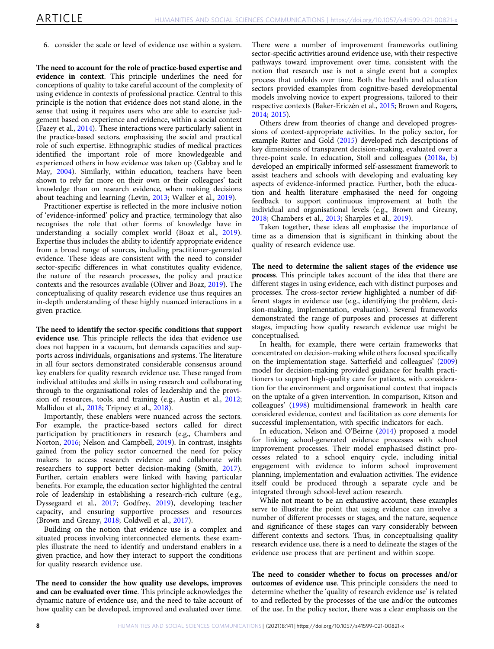6. consider the scale or level of evidence use within a system.

The need to account for the role of practice-based expertise and evidence in context. This principle underlines the need for conceptions of quality to take careful account of the complexity of using evidence in contexts of professional practice. Central to this principle is the notion that evidence does not stand alone, in the sense that using it requires users who are able to exercise judgement based on experience and evidence, within a social context (Fazey et al., [2014](#page-9-0)). These interactions were particularly salient in the practice-based sectors, emphasising the social and practical role of such expertise. Ethnographic studies of medical practices identified the important role of more knowledgeable and experienced others in how evidence was taken up (Gabbay and le May, [2004](#page-9-0)). Similarly, within education, teachers have been shown to rely far more on their own or their colleagues' tacit knowledge than on research evidence, when making decisions about teaching and learning (Levin, [2013](#page-10-0); Walker et al., [2019](#page-10-0)).

Practitioner expertise is reflected in the more inclusive notion of 'evidence-informed' policy and practice, terminology that also recognises the role that other forms of knowledge have in understanding a socially complex world (Boaz et al., [2019](#page-9-0)). Expertise thus includes the ability to identify appropriate evidence from a broad range of sources, including practitioner-generated evidence. These ideas are consistent with the need to consider sector-specific differences in what constitutes quality evidence, the nature of the research processes, the policy and practice contexts and the resources available (Oliver and Boaz, [2019\)](#page-10-0). The conceptualising of quality research evidence use thus requires an in-depth understanding of these highly nuanced interactions in a given practice.

The need to identify the sector-specific conditions that support evidence use. This principle reflects the idea that evidence use does not happen in a vacuum, but demands capacities and supports across individuals, organisations and systems. The literature in all four sectors demonstrated considerable consensus around key enablers for quality research evidence use. These ranged from individual attitudes and skills in using research and collaborating through to the organisational roles of leadership and the provision of resources, tools, and training (e.g., Austin et al., [2012;](#page-8-0) Mallidou et al., [2018;](#page-10-0) Tripney et al., [2018](#page-10-0)).

Importantly, these enablers were nuanced across the sectors. For example, the practice-based sectors called for direct participation by practitioners in research (e.g., Chambers and Norton, [2016;](#page-9-0) Nelson and Campbell, [2019\)](#page-10-0). In contrast, insights gained from the policy sector concerned the need for policy makers to access research evidence and collaborate with researchers to support better decision-making (Smith, [2017](#page-10-0)). Further, certain enablers were linked with having particular benefits. For example, the education sector highlighted the central role of leadership in establishing a research-rich culture (e.g., Dyssegaard et al., [2017](#page-9-0); Godfrey, [2019\)](#page-9-0), developing teacher capacity, and ensuring supportive processes and resources (Brown and Greany, [2018;](#page-9-0) Coldwell et al., [2017](#page-9-0)).

Building on the notion that evidence use is a complex and situated process involving interconnected elements, these examples illustrate the need to identify and understand enablers in a given practice, and how they interact to support the conditions for quality research evidence use.

The need to consider the how quality use develops, improves and can be evaluated over time. This principle acknowledges the dynamic nature of evidence use, and the need to take account of how quality can be developed, improved and evaluated over time. There were a number of improvement frameworks outlining sector-specific activities around evidence use, with their respective pathways toward improvement over time, consistent with the notion that research use is not a single event but a complex process that unfolds over time. Both the health and education sectors provided examples from cognitive-based developmental models involving novice to expert progressions, tailored to their respective contexts (Baker-Ericzén et al., [2015;](#page-8-0) Brown and Rogers, [2014;](#page-9-0) [2015](#page-9-0)).

Others drew from theories of change and developed progressions of context-appropriate activities. In the policy sector, for example Rutter and Gold ([2015\)](#page-10-0) developed rich descriptions of key dimensions of transparent decision-making, evaluated over a three-point scale. In education, Stoll and colleagues [\(2018a](#page-10-0), [b](#page-10-0)) developed an empirically informed self-assessment framework to assist teachers and schools with developing and evaluating key aspects of evidence-informed practice. Further, both the education and health literature emphasised the need for ongoing feedback to support continuous improvement at both the individual and organisational levels (e.g., Brown and Greany, [2018;](#page-9-0) Chambers et al., [2013;](#page-9-0) Sharples et al., [2019\)](#page-10-0).

Taken together, these ideas all emphasise the importance of time as a dimension that is significant in thinking about the quality of research evidence use.

The need to determine the salient stages of the evidence use process. This principle takes account of the idea that there are different stages in using evidence, each with distinct purposes and processes. The cross-sector review highlighted a number of different stages in evidence use (e.g., identifying the problem, decision-making, implementation, evaluation). Several frameworks demonstrated the range of purposes and processes at different stages, impacting how quality research evidence use might be conceptualised.

In health, for example, there were certain frameworks that concentrated on decision-making while others focused specifically on the implementation stage. Satterfield and colleagues' [\(2009](#page-10-0)) model for decision-making provided guidance for health practitioners to support high-quality care for patients, with consideration for the environment and organisational context that impacts on the uptake of a given intervention. In comparison, Kitson and colleagues' ([1998](#page-10-0)) multidimensional framework in health care considered evidence, context and facilitation as core elements for successful implementation, with specific indicators for each.

In education, Nelson and O'Beirne [\(2014\)](#page-10-0) proposed a model for linking school-generated evidence processes with school improvement processes. Their model emphasised distinct processes related to a school enquiry cycle, including initial engagement with evidence to inform school improvement planning, implementation and evaluation activities. The evidence itself could be produced through a separate cycle and be integrated through school-level action research.

While not meant to be an exhaustive account, these examples serve to illustrate the point that using evidence can involve a number of different processes or stages, and the nature, sequence and significance of these stages can vary considerably between different contexts and sectors. Thus, in conceptualising quality research evidence use, there is a need to delineate the stages of the evidence use process that are pertinent and within scope.

The need to consider whether to focus on processes and/or outcomes of evidence use. This principle considers the need to determine whether the 'quality of research evidence use' is related to and reflected by the processes of the use and/or the outcomes of the use. In the policy sector, there was a clear emphasis on the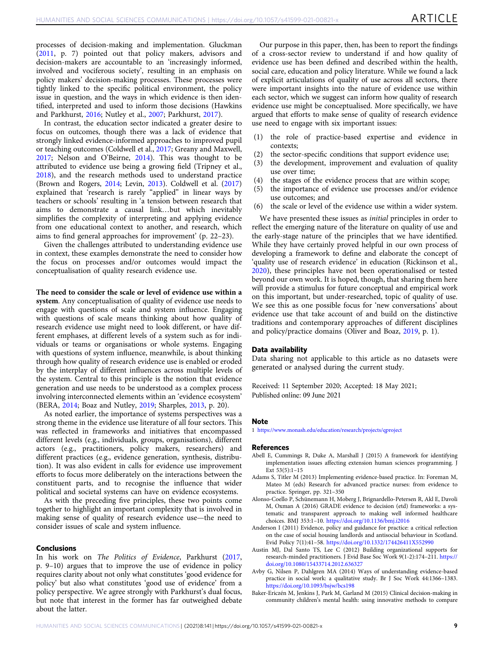<span id="page-8-0"></span>processes of decision-making and implementation. Gluckman ([2011,](#page-9-0) p. 7) pointed out that policy makers, advisors and decision-makers are accountable to an 'increasingly informed, involved and vociferous society', resulting in an emphasis on policy makers' decision-making processes. These processes were tightly linked to the specific political environment, the policy issue in question, and the ways in which evidence is then identified, interpreted and used to inform those decisions (Hawkins and Parkhurst, [2016;](#page-10-0) Nutley et al., [2007](#page-10-0); Parkhurst, [2017](#page-10-0)).

In contrast, the education sector indicated a greater desire to focus on outcomes, though there was a lack of evidence that strongly linked evidence-informed approaches to improved pupil or teaching outcomes (Coldwell et al., [2017](#page-9-0); Greany and Maxwell, [2017;](#page-10-0) Nelson and O'Beirne, [2014](#page-10-0)). This was thought to be attributed to evidence use being a growing field (Tripney et al., [2018\)](#page-10-0), and the research methods used to understand practice (Brown and Rogers, [2014;](#page-9-0) Levin, [2013](#page-10-0)). Coldwell et al. [\(2017](#page-9-0)) explained that 'research is rarely "applied" in linear ways by teachers or schools' resulting in 'a tension between research that aims to demonstrate a causal link…but which inevitably simplifies the complexity of interpreting and applying evidence from one educational context to another, and research, which aims to find general approaches for improvement' (p. 22–23).

Given the challenges attributed to understanding evidence use in context, these examples demonstrate the need to consider how the focus on processes and/or outcomes would impact the conceptualisation of quality research evidence use.

The need to consider the scale or level of evidence use within a

system. Any conceptualisation of quality of evidence use needs to engage with questions of scale and system influence. Engaging with questions of scale means thinking about how quality of research evidence use might need to look different, or have different emphases, at different levels of a system such as for individuals or teams or organisations or whole systems. Engaging with questions of system influence, meanwhile, is about thinking through how quality of research evidence use is enabled or eroded by the interplay of different influences across multiple levels of the system. Central to this principle is the notion that evidence generation and use needs to be understood as a complex process involving interconnected elements within an 'evidence ecosystem' (BERA, [2014](#page-9-0); Boaz and Nutley, [2019](#page-9-0); Sharples, [2013,](#page-10-0) p. 20).

As noted earlier, the importance of systems perspectives was a strong theme in the evidence use literature of all four sectors. This was reflected in frameworks and initiatives that encompassed different levels (e.g., individuals, groups, organisations), different actors (e.g., practitioners, policy makers, researchers) and different practices (e.g., evidence generation, synthesis, distribution). It was also evident in calls for evidence use improvement efforts to focus more deliberately on the interactions between the constituent parts, and to recognise the influence that wider political and societal systems can have on evidence ecosystems.

As with the preceding five principles, these two points come together to highlight an important complexity that is involved in making sense of quality of research evidence use—the need to consider issues of scale and system influence.

#### Conclusions

In his work on The Politics of Evidence, Parkhurst [\(2017,](#page-10-0) p. 9–10) argues that to improve the use of evidence in policy requires clarity about not only what constitutes 'good evidence for policy' but also what constitutes 'good use of evidence' from a policy perspective. We agree strongly with Parkhurst's dual focus, but note that interest in the former has far outweighed debate about the latter.

Our purpose in this paper, then, has been to report the findings of a cross-sector review to understand if and how quality of evidence use has been defined and described within the health, social care, education and policy literature. While we found a lack of explicit articulations of quality of use across all sectors, there were important insights into the nature of evidence use within each sector, which we suggest can inform how quality of research evidence use might be conceptualised. More specifically, we have argued that efforts to make sense of quality of research evidence use need to engage with six important issues:

- (1) the role of practice-based expertise and evidence in contexts;
- (2) the sector-specific conditions that support evidence use;
- (3) the development, improvement and evaluation of quality use over time;
- (4) the stages of the evidence process that are within scope;
- (5) the importance of evidence use processes and/or evidence use outcomes; and
- (6) the scale or level of the evidence use within a wider system.

We have presented these issues as *initial* principles in order to reflect the emerging nature of the literature on quality of use and the early-stage nature of the principles that we have identified. While they have certainly proved helpful in our own process of developing a framework to define and elaborate the concept of 'quality use of research evidence' in education (Rickinson et al., [2020\)](#page-10-0), these principles have not been operationalised or tested beyond our own work. It is hoped, though, that sharing them here will provide a stimulus for future conceptual and empirical work on this important, but under-researched, topic of quality of use. We see this as one possible focus for 'new conversations' about evidence use that take account of and build on the distinctive traditions and contemporary approaches of different disciplines and policy/practice domains (Oliver and Boaz, [2019](#page-10-0), p. 1).

#### Data availability

Data sharing not applicable to this article as no datasets were generated or analysed during the current study.

Received: 11 September 2020; Accepted: 18 May 2021; Published online: 09 June 2021

#### Note

1 <https://www.monash.edu/education/research/projects/qproject>

#### References

- Abell E, Cummings R, Duke A, Marshall J (2015) A framework for identifying implementation issues affecting extension human sciences programming. J Ext 53(5):1–15
- Adams S, Titler M (2013) Implementing evidence-based practice. In: Foreman M, Mateo M (eds) Research for advanced practice nurses: from evidence to practice. Springer, pp. 321–350
- Alonso-Coello P, Schünemann H, Moberg J, Brignardello-Petersen R, Akl E, Davoli M, Oxman A (2016) GRADE evidence to decision (etd) frameworks: a systematic and transparent approach to making well informed healthcare choices. BMJ 353:1–10. <https://doi.org/10.1136/bmj.i2016>
- Anderson I (2011) Evidence, policy and guidance for practice: a critical reflection on the case of social housing landlords and antisocial behaviour in Scotland. Evid Policy 7(1):41–58. <https://doi.org/10.1332/174426411X552990>
- Austin MJ, Dal Santo TS, Lee C (2012) Building organizational supports for research-minded practitioners. J Evid Base Soc Work 9(1-2):174–211. [https://](https://doi.org/10.1080/15433714.2012.636327) [doi.org/10.1080/15433714.2012.636327](https://doi.org/10.1080/15433714.2012.636327)
- Avby G, Nilsen P, Dahlgren MA (2014) Ways of understanding evidence-based practice in social work: a qualitative study. Br J Soc Work 44:1366–1383. <https://doi.org/10.1093/bsjw/bcs198>
- Baker-Ericzén M, Jenkins J, Park M, Garland M (2015) Clinical decision-making in community children's mental health: using innovative methods to compare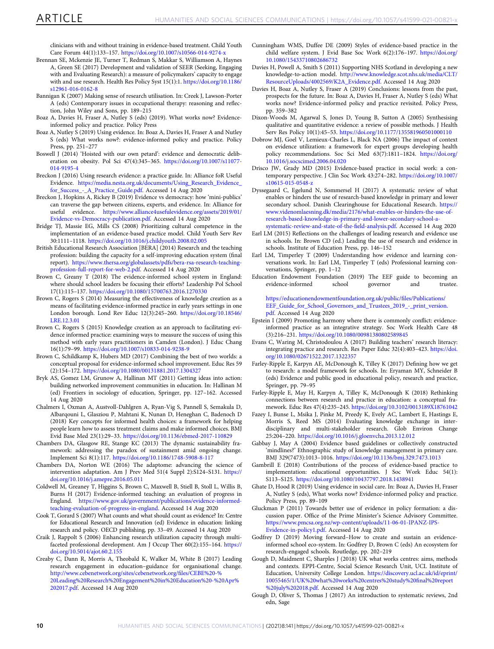<span id="page-9-0"></span>clinicians with and without training in evidence-based treatment. Child Youth Care Forum 44(1):133–157. <https://doi.org/10.1007/s10566-014-9274-x>

- Brennan SE, Mckenzie JE, Turner T, Redman S, Makkar S, Williamson A, Haynes A, Green SE (2017) Development and validation of SEER (Seeking, Engaging with and Evaluating Research): a measure of policymakers' capacity to engage with and use research. Health Res Policy Syst 15(1):1. [https://doi.org/10.1186/](https://doi.org/10.1186/s12961-016-0162-8) [s12961-016-0162-8](https://doi.org/10.1186/s12961-016-0162-8)
- Bannigan K (2007) Making sense of research utilisation. In: Creek J, Lawson-Porter A (eds) Contemporary issues in occupational therapy: reasoning and reflection, John Wiley and Sons, pp. 189–215
- Boaz A, Davies H, Fraser A, Nutley S (eds) (2019). What works now? Evidenceinformed policy and practice. Policy Press
- Boaz A, Nutley S (2019) Using evidence. In: Boaz A, Davies H, Fraser A and Nutley S (eds) What works now?: evidence-informed policy and practice. Policy Press, pp. 251–277
- Boswell J (2014) 'Hoisted with our own petard': evidence and democratic deliberation on obesity. Pol Sci 47(4):345–365. [https://doi.org/10.1007/s11077-](https://doi.org/10.1007/s11077-014-9195-4) [014-9195-4](https://doi.org/10.1007/s11077-014-9195-4)
- Breckon J (2016) Using research evidence: a practice guide. In: Alliance foR Useful Evidence. [https://media.nesta.org.uk/documents/Using\\_Research\\_Evidence\\_](https://media.nesta.org.uk/documents/Using_Research_Evidence_for_Success_-_A_Practice_Guide.pdf) [for\\_Success\\_-\\_A\\_Practice\\_Guide.pdf](https://media.nesta.org.uk/documents/Using_Research_Evidence_for_Success_-_A_Practice_Guide.pdf). Accessed 14 Aug 2020
- Breckon J, Hopkins A, Rickey B (2019) Evidence vs democracy: how 'mini-publics' can traverse the gap between citizens, experts, and evidence. In: Alliance for useful evidence. [https://www.alliance4usefulevidence.org/assets/2019/01/](https://www.alliance4usefulevidence.org/assets/2019/01/Evidence-vs-Democracy-publication.pdf) [Evidence-vs-Democracy-publication.pdf.](https://www.alliance4usefulevidence.org/assets/2019/01/Evidence-vs-Democracy-publication.pdf) Accessed 14 Aug 2020
- Bridge TJ, Massie EG, Mills CS (2008) Prioritizing cultural competence in the implementation of an evidence-based practice model. Child Youth Serv Rev 30:1111–1118. <https://doi.org/10.1016/j.childyouth.2008.02.005>
- British Educational Research Association [BERA] (2014) Research and the teaching profession: building the capacity for a self-improving education system (final report). [https://www.thersa.org/globalassets/pdfs/bera-rsa-research-teaching](https://www.thersa.org/globalassets/pdfs/bera-rsa-research-teaching-profession-full-report-for-web-2.pdf)[profession-full-report-for-web-2.pdf.](https://www.thersa.org/globalassets/pdfs/bera-rsa-research-teaching-profession-full-report-for-web-2.pdf) Accessed 14 Aug 2020
- Brown C, Greany T (2018) The evidence-informed school system in England: where should school leaders be focusing their efforts? Leadership Pol School 17(1):115–137. <https://doi.org/10.1080/15700763.2016.1270330>
- Brown C, Rogers S (2014) Measuring the effectiveness of knowledge creation as a means of facilitating evidence-informed practice in early years settings in one London borough. Lond Rev Educ 12(3):245–260. [https://doi.org/10.18546/](https://doi.org/10.18546/LRE.12.3.01) [LRE.12.3.01](https://doi.org/10.18546/LRE.12.3.01)
- Brown C, Rogers S (2015) Knowledge creation as an approach to facilitating evidence informed practice: examining ways to measure the success of using this method with early years practitioners in Camden (London). J Educ Chang 16(1):79–99. <https://doi.org/10.1007/s10833-014-9238-9>
- Brown C, Schildkamp K, Hubers MD (2017) Combining the best of two worlds: a conceptual proposal for evidence-informed school improvement. Educ Res 59 (2):154–172. <https://doi.org/10.1080/00131881.2017.1304327>
- Bryk AS, Gomez LM, Grunow A, Hallinan MT (2011) Getting ideas into action: building networked improvement communities in education. In: Hallinan M (ed) Frontiers in sociology of education, Springer, pp. 127–162. Accessed 14 Aug 2020
- Chalmers I, Oxman A, Austvoll-Dahlgren A, Ryan-Vig S, Pannell S, Semakula D, Albarqouni L, Glasziou P, Mahtani K, Nunan D, Heneghan C, Badenoch D (2018) Key concepts for informed health choices: a framework for helping people learn how to assess treatment claims and make informed choices. BMJ Evid Base Med 23(1):29–33. <https://doi.org/10.1136/ebmed-2017-110829>
- Chambers DA, Glasgow RE, Stange KC (2013) The dynamic sustainability framework: addressing the paradox of sustainment amid ongoing change. Implement Sci 8(1):117. <https://doi.org/10.1186/1748-5908-8-117>
- Chambers DA, Norton WE (2016) The adaptome: advancing the science of intervention adaptation. Am J Prev Med 51(4 Suppl 2):S124–S131. [https://](https://doi.org/10.1016/j.amepre.2016.05.011) [doi.org/10.1016/j.amepre.2016.05.011](https://doi.org/10.1016/j.amepre.2016.05.011)
- Coldwell M, Greaney T, Higgins S, Brown C, Maxwell B, Stiell B, Stoll L, Willis B, Burns H (2017) Evidence-informed teaching: an evaluation of progress in England. [https://www.gov.uk/government/publications/evidence-informed](https://www.gov.uk/government/publications/evidence-informed-teaching-evaluation-of-progress-in-england)[teaching-evaluation-of-progress-in-england.](https://www.gov.uk/government/publications/evidence-informed-teaching-evaluation-of-progress-in-england) Accessed 14 Aug 2020
- Cook T, Gorard S (2007) What counts and what should count as evidence? In: Centre for Educational Research and Innovation (ed) Evidence in education: linking research and policy. OECD publishing, pp. 33–49. Accessed 14 Aug 2020
- Craik J, Rappolt S (2006) Enhancing research utilization capacity through multifaceted professional development. Am J Occup Ther 60(2):155–164. [https://](https://doi.org/10.5014/ajot.60.2.155) [doi.org/10.5014/ajot.60.2.155](https://doi.org/10.5014/ajot.60.2.155)
- Creaby C, Dann R, Morris A, Theobald K, Walker M, White B (2017) Leading research engagement in education–guidance for organisational change. [http://www.cebenetwork.org/sites/cebenetwork.org/](http://www.cebenetwork.org/sites/cebenetwork.org/files/CEBE%20-%20Leading%20Research%20Engagement%20in%20Education%20-%20Apr%202017.pdf)files/CEBE%20-% [20Leading%20Research%20Engagement%20in%20Education%20-%20Apr%](http://www.cebenetwork.org/sites/cebenetwork.org/files/CEBE%20-%20Leading%20Research%20Engagement%20in%20Education%20-%20Apr%202017.pdf) [202017.pdf.](http://www.cebenetwork.org/sites/cebenetwork.org/files/CEBE%20-%20Leading%20Research%20Engagement%20in%20Education%20-%20Apr%202017.pdf) Accessed 14 Aug 2020
- Cunningham WMS, Duffee DE (2009) Styles of evidence-based practice in the child welfare system. J Evid Base Soc Work 6(2):176–197. [https://doi.org/](https://doi.org/10.1080/15433710802686732) [10.1080/15433710802686732](https://doi.org/10.1080/15433710802686732)
- Davies H, Powell A, Smith S (2011) Supporting NHS Scotland in developing a new knowledge-to-action model. [http://www.knowledge.scot.nhs.uk/media/CLT/](http://www.knowledge.scot.nhs.uk/media/CLT/ResourceUploads/4002569/K2A_Evidence.pdf) [ResourceUploads/4002569/K2A\\_Evidence.pdf](http://www.knowledge.scot.nhs.uk/media/CLT/ResourceUploads/4002569/K2A_Evidence.pdf). Accessed 14 Aug 2020
- Davies H, Boaz A, Nutley S, Fraser A (2019) Conclusions: lessons from the past, prospects for the future. In: Boaz A, Davies H, Fraser A, Nutley S (eds) What works now? Evidence-informed policy and practice revisited. Policy Press, pp. 359–382
- Dixon-Woods M, Agarwal S, Jones D, Young B, Sutton A (2005) Synthesising qualitative and quantitative evidence: a review of possible methods. J Health Serv Res Policy 10(1):45–53. <https://doi.org/10.1177/135581960501000110>
- Dobrow MJ, Goel V, Lemieux-Charles L, Black NA (2006) The impact of context on evidence utilization: a framework for expert groups developing health policy recommendations. Soc Sci Med 63(7):1811–1824. [https://doi.org/](https://doi.org/10.1016/j.socscimed.2006.04.020) [10.1016/j.socscimed.2006.04.020](https://doi.org/10.1016/j.socscimed.2006.04.020)
- Drisco JW, Grady MD (2015) Evidence-based practice in social work: a contemporary perspective. J Clin Soc Work 43:274–282. [https://doi.org/10.1007/](https://doi.org/10.1007/s10615-015-0548-z) [s10615-015-0548-z](https://doi.org/10.1007/s10615-015-0548-z)
- Dyssegaard C, Egelund N, Sommersel H (2017) A systematic review of what enables or hinders the use of research-based knowledge in primary and lower secondary school. Danish Clearinghouse for Educational Research. [https://](https://www.videnomlaesning.dk/media/2176/what-enables-or-hinders-the-use-of-research-based-knowledge-in-primary-and-lower-secondary-school-a-systematic-review-and-state-of-the-field-analysis.pdf) [www.videnomlaesning.dk/media/2176/what-enables-or-hinders-the-use-of](https://www.videnomlaesning.dk/media/2176/what-enables-or-hinders-the-use-of-research-based-knowledge-in-primary-and-lower-secondary-school-a-systematic-review-and-state-of-the-field-analysis.pdf)[research-based-knowledge-in-primary-and-lower-secondary-school-a-](https://www.videnomlaesning.dk/media/2176/what-enables-or-hinders-the-use-of-research-based-knowledge-in-primary-and-lower-secondary-school-a-systematic-review-and-state-of-the-field-analysis.pdf)
- [systematic-review-and-state-of-the-](https://www.videnomlaesning.dk/media/2176/what-enables-or-hinders-the-use-of-research-based-knowledge-in-primary-and-lower-secondary-school-a-systematic-review-and-state-of-the-field-analysis.pdf)field-analysis.pdf. Accessed 14 Aug 2020 Earl LM (2015) Reflections on the challenges of leading research and evidence use in schools. In: Brown CD (ed.) Leading the use of research and evidence in schools. Institute of Education Press, pp. 146–152
- Earl LM, Timperley T (2009) Understanding how evidence and learning conversations work. In: Earl LM, Timperley T (eds) Professional learning conversations, Springer, pp. 1–12
- Education Endowment Foundation (2019) The EEF guide to becoming an evidence-informed school governor and trustee.

[https://educationendowmentfoundation.org.uk/public/](https://educationendowmentfoundation.org.uk/public/files/Publications/EEF_Guide_for_School_Governors_and_Trustees_2019_-_print_version.pdf)files/Publications/ [EEF\\_Guide\\_for\\_School\\_Governors\\_and\\_Trustees\\_2019\\_-\\_print\\_version.](https://educationendowmentfoundation.org.uk/public/files/Publications/EEF_Guide_for_School_Governors_and_Trustees_2019_-_print_version.pdf) [pdf.](https://educationendowmentfoundation.org.uk/public/files/Publications/EEF_Guide_for_School_Governors_and_Trustees_2019_-_print_version.pdf) Accessed 14 Aug 2020

- Epstein I (2009) Promoting harmony where there is commonly conflict: evidenceinformed practice as an integrative strategy. Soc Work Health Care 48 (3):216–231. <https://doi.org/10.1080/00981380802589845>
- Evans C, Waring M, Christodoulou A (2017) Building teachers' research literacy: integrating practice and research. Res Paper Educ 32(4):403–423. [https://doi.](https://doi.org/10.1080/02671522.2017.1322357) [org/10.1080/02671522.2017.1322357](https://doi.org/10.1080/02671522.2017.1322357)
- Farley-Ripple E, Karpyn AE, McDonough K, Tilley K (2017) Defining how we get to research: a model framework for schools. In: Eryaman MY, Schneider B (eds) Evidence and public good in educational policy, research and practice, Springer, pp. 79–95
- Farley-Ripple E, May H, Karpyn A, Tilley K, McDonough K (2018) Rethinking connections between research and practice in education: a conceptual framework. Educ Res 47(4):235–245. <https://doi.org/10.3102/0013189X18761042>
- Fazey I, Bunse L, Msika J, Pinke M, Preedy K, Evely AC, Lambert E, Hastings E, Morris S, Reed MS (2014) Evaluating knowledge exchange in interdisciplinary and multi-stakeholder research. Glob Environ Change 25:204–220. <https://doi.org/10.1016/j.gloenvcha.2013.12.012>
- Gabbay J, May A (2004) Evidence based guidelines or collectively constructed 'mindlines?' Ethnographic study of knowledge management in primary care. BMJ 329(7473):1013–1016. <https://doi.org/10.1136/bmj.329.7473.1013>
- Gambrill E (2018) Contributions of the process of evidence-based practice to implementation: educational opportunities. J Soc Work Educ 54(1): S113–S125. <https://doi.org/10.1080/10437797.2018.1438941>
- Ghate D, Hood R (2019) Using evidence in social care. In: Boaz A, Davies H, Fraser A, Nutley S (eds), What works now? Evidence-informed policy and practice. Policy Press, pp. 89–109
- Gluckman P (2011) Towards better use of evidence in policy formation: a discussion paper. Office of the Prime Minister's Science Advisory Committee. [https://www.pmcsa.org.nz/wp-content/uploads/11-06-01-IPANZ-IPS-](https://www.pmcsa.org.nz/wp-content/uploads/11-06-01-IPANZ-IPS-Evidence-in-policy1.pdf)[Evidence-in-policy1.pdf.](https://www.pmcsa.org.nz/wp-content/uploads/11-06-01-IPANZ-IPS-Evidence-in-policy1.pdf) Accessed 14 Aug 2020
- Godfrey D (2019) Moving forward–How to create and sustain an evidenceinformed school eco-system. In: Godfrey D, Brown C (eds) An ecosystem for research-engaged schools. Routledge, pp. 202–219
- Gough D, Maidment C, Sharples J (2018) UK what works centres: aims, methods and contexts. EPPI-Centre, Social Science Research Unit, UCL Institute of Education, University College London. [https://discovery.ucl.ac.uk/id/eprint/](https://discovery.ucl.ac.uk/id/eprint/10055465/1/UK%20what%20works%20centres%20study%20final%20report%20july%202018.pdf) [10055465/1/UK%20what%20works%20centres%20study%20](https://discovery.ucl.ac.uk/id/eprint/10055465/1/UK%20what%20works%20centres%20study%20final%20report%20july%202018.pdf)final%20report [%20july%202018.pdf](https://discovery.ucl.ac.uk/id/eprint/10055465/1/UK%20what%20works%20centres%20study%20final%20report%20july%202018.pdf). Accessed 14 Aug 2020
- Gough D, Oliver S, Thomas J (2017) An introduction to systematic reviews, 2nd edn, Sage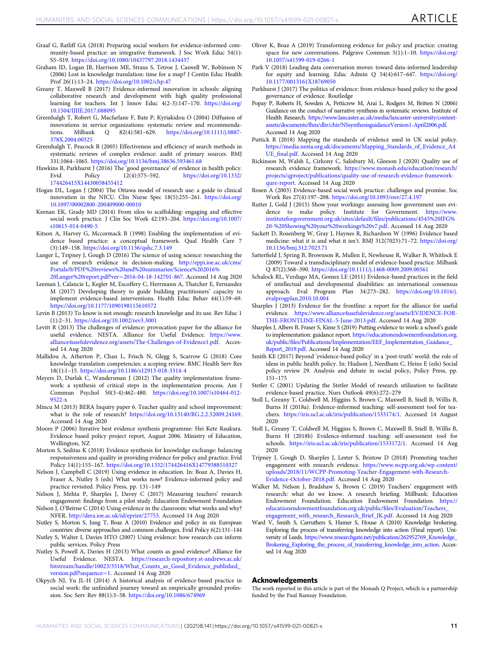- <span id="page-10-0"></span>Graaf G, Ratliff GA (2018) Preparing social workers for evidence-informed community-based practice: an integrative framework. J Soc Work Educ 54(1): S5–S19. <https://doi.org/10.1080/10437797.2018.1434437>
- Graham ID, Logan JB, Harrison ME, Straus S, Tetroe J, Caswell W, Robinson N (2006) Lost in knowledge translation: time for a map? J Contin Educ Health Prof 26(1):13–24. <https://doi.org/10.1002/chp.47>
- Greany T, Maxwell B (2017) Evidence-informed innovation in schools: aligning collaborative research and development with high quality professional learning for teachers. Int J Innov Educ 4(2-3):147–170. [https://doi.org/](https://doi.org/10.1504/IJIIE.2017.088095) [10.1504/IJIIE.2017.088095](https://doi.org/10.1504/IJIIE.2017.088095)
- Greenhalgh T, Robert G, Macfarlane F, Bate P, Kyriakidou O (2004) Diffusion of innovations in service organizations: systematic review and recommendations. Milbank Q 82(4):581-629. [https://doi.org/10.1111/j.0887-](https://doi.org/10.1111/j.0887-378X.2004.00325) [378X.2004.00325](https://doi.org/10.1111/j.0887-378X.2004.00325)
- Greenhalgh T, Peacock R (2005) Effectiveness and efficiency of search methods in systematic reviews of complex evidence: audit of primary sources. BMJ 331:1064–1065. <https://doi.org/10.1136/bmj.38636.593461.68>
- Hawkins B, Parkhurst J (2016) The 'good governance' of evidence in health policy.<br>
Evid Policy 12(4):575-592. https://doi.org/10.1332/ Policy 12(4):575–592. [https://doi.org/10.1332/](https://doi.org/10.1332/174426415X14430058455412) [174426415X14430058455412](https://doi.org/10.1332/174426415X14430058455412)
- Hogan DL, Logan J (2004) The Ottawa model of research use: a guide to clinical innovation in the NICU. Clin Nurse Spec 18(5):255–261. [https://doi.org/](https://doi.org/10.1097/00002800-200409000-00010) [10.1097/00002800-200409000-00010](https://doi.org/10.1097/00002800-200409000-00010)
- Keenan EK, Grady MD (2014) From silos to scaffolding: engaging and effective social work practice. J Clin Soc Work 42:193–204. [https://doi.org/10.1007/](https://doi.org/10.1007/s10615-014-0490-5) [s10615-014-0490-5](https://doi.org/10.1007/s10615-014-0490-5)
- Kitson A, Harvey G, Mccormack B (1998) Enabling the implementation of evidence based practice: a conceptual framework. Qual Health Care 7 (3):149–158. <https://doi.org/10.1136/qshc.7.3.149>
- Langer L, Tripney J, Gough D (2016) The science of using science: researching the use of research evidence in decision-making. [http://eppi.ioe.ac.uk/cms/](http://eppi.ioe.ac.uk/cms/Portals/0/PDF%20reviews%20and%20summaries/Science%202016%20Langer%20report.pdf?ver=2016-04-18-142701-867) [Portals/0/PDF%20reviews%20and%20summaries/Science%202016%](http://eppi.ioe.ac.uk/cms/Portals/0/PDF%20reviews%20and%20summaries/Science%202016%20Langer%20report.pdf?ver=2016-04-18-142701-867) [20Langer%20report.pdf?ver](http://eppi.ioe.ac.uk/cms/Portals/0/PDF%20reviews%20and%20summaries/Science%202016%20Langer%20report.pdf?ver=2016-04-18-142701-867)=2016-04-18-142701-867. Accessed 14 Aug 2020
- Leeman J, Calancie L, Kegler M, Escoffery C, Herrmann A, Thatcher E, Fernandez M (2017) Developing theory to guide building practitioners' capacity to implement evidence-based interventions. Health Educ Behav 44(1):59–69. <https://doi.org/10.1177/1090198115610572>
- Levin B (2013) To know is not enough: research knowledge and its use. Rev Educ 1 (1):2–31. <https://doi.org/10.1002/rev3.3001>
- Levitt R (2013) The challenges of evidence: provocation paper for the alliance for useful evidence. NESTA. Alliance for Useful Evidence. [https://www.](https://www.alliance4usefulevidence.org/assets/The-Challenges-of-Evidence1.pdf) [alliance4usefulevidence.org/assets/The-Challenges-of-Evidence1.pdf](https://www.alliance4usefulevidence.org/assets/The-Challenges-of-Evidence1.pdf). Accessed 14 Aug 2020
- Mallidou A, Atherton P, Chan L, Frisch N, Glegg S, Scarrow G (2018) Core knowledge translation competencies: a scoping review. BMC Health Serv Res 18(1):1–15. <https://doi.org/10.1186/s12913-018-3314-4>
- Meyers D, Durlak C, Wandersman J (2012) The quality implementation framework: a synthesis of critical steps in the implementation process. Am J Commun Psychol 50(3-4):462–480. [https://doi.org/10.1007/s10464-012-](https://doi.org/10.1007/s10464-012-9522-x) [9522-x](https://doi.org/10.1007/s10464-012-9522-x)
- Mincu M (2013) BERA Inquiry paper 6. Teacher quality and school improvement: what is the role of research? <https://doi.org/10.13140/RG.2.2.32009.24169>. Accessed 14 Aug 2020
- Moore P (2006) Iterative best evidence synthesis programme: Hei Kete Raukura. Evidence based policy project report, August 2006. Ministry of Education, Wellington, NZ
- Morton S, Seditas K (2018) Evidence synthesis for knowledge exchange: balancing responsiveness and quality in providing evidence for policy and practice. Evid Policy 14(1):155–167. <https://doi.org/10.1332/174426416X14779388510327>
- Nelson J, Campbell C (2019) Using evidence in education. In: Boaz A, Davies H, Fraser A, Nutley S (eds) What works now? Evidence-informed policy and practice revisited. Policy Press, pp. 131–149
- Nelson J, Mehta P, Sharples J, Davey C (2017) Measuring teachers' research engagement: findings from a pilot study. Education Endowment Foundation
- Nelson J, O'Beirne C (2014) Using evidence in the classroom: what works and why? NFER. [http://dera.ioe.ac.uk/id/eprint/27753.](http://dera.ioe.ac.uk/id/eprint/27753) Accessed 14 Aug 2020
- Nutley S, Morton S, Jung T, Boaz A (2010) Evidence and policy in six European countries: diverse approaches and common challenges. Evid Policy 6(2):131–144
- Nutley S, Walter I, Davies HTO (2007) Using evidence: how research can inform public services. Policy Press
- Nutley S, Powell A, Davies H (2013) What counts as good evidence? Alliance for Useful Evidence. NESTA. [https://research-repository.st-andrews.ac.uk/](https://research-repository.st-andrews.ac.uk/bitstream/handle/10023/3518/What_Counts_as_Good_Evidence_published_version.pdf?sequence=1) [bitstream/handle/10023/3518/What\\_Counts\\_as\\_Good\\_Evidence\\_published\\_](https://research-repository.st-andrews.ac.uk/bitstream/handle/10023/3518/What_Counts_as_Good_Evidence_published_version.pdf?sequence=1) [version.pdf?sequence](https://research-repository.st-andrews.ac.uk/bitstream/handle/10023/3518/What_Counts_as_Good_Evidence_published_version.pdf?sequence=1)=1. Accessed 14 Aug 2020
- Okpych NJ, Yu JL-H (2014) A historical analysis of evidence-based practice in social work: the unfinished journey toward an empirically grounded profession. Soc Serv Rev 88(1):3–58. <https://doi.org/10.1086/674969>
- Oliver K, Boaz A (2019) Transforming evidence for policy and practice: creating space for new conversations. Palgrave Commun 5(1):1-10. [https://doi.org/](https://doi.org/10.1057/s41599-019-0266-1) [10.1057/s41599-019-0266-1](https://doi.org/10.1057/s41599-019-0266-1)
- Park V (2018) Leading data conversation moves: toward data-informed leadership for equity and learning. Educ Admin Q 54(4):617–647. [https://doi.org/](https://doi.org/10.1177/0013161X18769050) [10.1177/0013161X18769050](https://doi.org/10.1177/0013161X18769050)
- Parkhurst J (2017) The politics of evidence: from evidence-based policy to the good governance of evidence. Routledge
- Popay P, Roberts H, Sowden A, Petticrew M, Arai L, Rodgers M, Britten N (2006) Guidance on the conduct of narrative synthesis in systematic reviews. Institute of Health Research. [https://www.lancaster.ac.uk/media/lancaster-university/content](https://www.lancaster.ac.uk/media/lancaster-university/content-assets/documents/fhm/dhr/chir/NSsynthesisguidanceVersion1-April2006.pdf)[assets/documents/fhm/dhr/chir/NSsynthesisguidanceVersion1-April2006.pdf.](https://www.lancaster.ac.uk/media/lancaster-university/content-assets/documents/fhm/dhr/chir/NSsynthesisguidanceVersion1-April2006.pdf) Accessed 14 Aug 2020
- Puttick R (2018) Mapping the standards of evidence used in UK social policy. [https://media.nesta.org.uk/documents/Mapping\\_Standards\\_of\\_Evidence\\_A4](https://media.nesta.org.uk/documents/Mapping_Standards_of_Evidence_A4UE_final.pdf) UE\_fi[nal.pdf.](https://media.nesta.org.uk/documents/Mapping_Standards_of_Evidence_A4UE_final.pdf) Accessed 14 Aug 2020
- Rickinson M, Walsh L, Cirkony C, Salisbury M, Gleeson J (2020) Quality use of research evidence framework. [https://www.monash.edu/education/research/](https://www.monash.edu/education/research/projects/qproject/publications/quality-use-of-research-evidence-framework-qure-report) [projects/qproject/publications/quality-use-of-research-evidence-framework](https://www.monash.edu/education/research/projects/qproject/publications/quality-use-of-research-evidence-framework-qure-report)[qure-report](https://www.monash.edu/education/research/projects/qproject/publications/quality-use-of-research-evidence-framework-qure-report). Accessed 14 Aug 2020
- Rosen A (2003) Evidence-based social work practice: challenges and promise. Soc Work Res 27(4):197–208. <https://doi.org/10.1093/swr/27.4.197>
- Rutter J, Gold J (2015) Show your workings: assessing how government uses evidence to make policy. Institute for Government. [https://www.](https://www.instituteforgovernment.org.uk/sites/default/files/publications/4545%20IFG%20-%20Showing%20your%20workings%20v7.pdf) [instituteforgovernment.org.uk/sites/default/](https://www.instituteforgovernment.org.uk/sites/default/files/publications/4545%20IFG%20-%20Showing%20your%20workings%20v7.pdf)files/publications/4545%20IFG% [20-%20Showing%20your%20workings%20v7.pdf](https://www.instituteforgovernment.org.uk/sites/default/files/publications/4545%20IFG%20-%20Showing%20your%20workings%20v7.pdf). Accessed 14 Aug 2020
- Sackett D, Rosenberg W, Gray J, Haynes R, Richardson W (1996) Evidence based medicine: what it is and what it isn't. BMJ 312(7023):71–72. [https://doi.org/](https://doi.org/10.1136/bmj.312.7023.71) [10.1136/bmj.312.7023.71](https://doi.org/10.1136/bmj.312.7023.71)
- Satterfield J, Spring B, Brownson R, Mullen E, Newhouse R, Walker B, Whitlock E (2009) Toward a transdisciplinary model of evidence‐based practice. Milbank Q 87(2):368–390. <https://doi.org/10.1111/j.1468-0009.2009.00561>
- Schalock RL, Verdugo MA, Gomez LE (2011) Evidence-based practices in the field of intellectual and developmental disabilities: an international consensus approach. Eval Program Plan 34:273–282. [https://doi.org/10.1016/j.](https://doi.org/10.1016/j.evalprogplan.2010.10.004) [evalprogplan.2010.10.004](https://doi.org/10.1016/j.evalprogplan.2010.10.004)
- Sharples  $\hat{J}$  (2013) Evidence for the frontline: a report for the alliance for useful evidence. [https://www.alliance4usefulevidence.org/assets/EVIDENCE-FOR-](https://www.alliance4usefulevidence.org/assets/EVIDENCE-FOR-THE-FRONTLINE-FINAL-5-June-2013.pdf)[THE-FRONTLINE-FINAL-5-June-2013.pdf.](https://www.alliance4usefulevidence.org/assets/EVIDENCE-FOR-THE-FRONTLINE-FINAL-5-June-2013.pdf) Accessed 14 Aug 2020
- Sharples J, Albers B, Fraser S, Kime S (2019) Putting evidence to work: a school's guide to implementation: guidance report. [https://educationendowmentfoundation.org.](https://educationendowmentfoundation.org.uk/public/files/Publications/Implementation/EEF_Implementation_Guidance_Report_2019.pdf) uk/public/fi[les/Publications/Implementation/EEF\\_Implementation\\_Guidance\\_](https://educationendowmentfoundation.org.uk/public/files/Publications/Implementation/EEF_Implementation_Guidance_Report_2019.pdf) [Report\\_2019.pdf](https://educationendowmentfoundation.org.uk/public/files/Publications/Implementation/EEF_Implementation_Guidance_Report_2019.pdf). Accessed 14 Aug 2020
- Smith KE (2017) Beyond 'evidence-based policy' in a 'post-truth' world: the role of ideas in public health policy. In: Hudson J, Needham C, Heins E (eds) Social policy review 29. Analysis and debate in social policy, Policy Press, pp. 151–175
- Stetler C (2001) Updating the Stetler Model of research utilization to facilitate evidence-based practice. Nurs Outlook 49(6):272–279
- Stoll L, Greany T, Coldwell M, Higgins S, Brown C, Maxwell B, Stiell B, Willis B, Burns H (2018a). Evidence-informed teaching: self-assessment tool for teachers. <https://iris.ucl.ac.uk/iris/publication/1533174/1>. Accessed 14 August 2020
- Stoll L, Greany T, Coldwell M, Higgins S, Brown C, Maxwell B, Stiell B, Willis B, Burns H (2018b) Evidence-informed teaching: self-assessment tool for schools. <https://iris.ucl.ac.uk/iris/publication/1533172/1>. Accessed 14 Aug 2020
- Tripney J, Gough D, Sharples J, Lester S, Bristow D (2018) Promoting teacher engagement with research evidence. [https://www.wcpp.org.uk/wp-content/](https://www.wcpp.org.uk/wp-content/uploads/2018/11/WCPP-Promoting-Teacher-Engagement-with-Research-Evidence-October-2018.pdf) [uploads/2018/11/WCPP-Promoting-Teacher-Engagement-with-Research-](https://www.wcpp.org.uk/wp-content/uploads/2018/11/WCPP-Promoting-Teacher-Engagement-with-Research-Evidence-October-2018.pdf)[Evidence-October-2018.pdf.](https://www.wcpp.org.uk/wp-content/uploads/2018/11/WCPP-Promoting-Teacher-Engagement-with-Research-Evidence-October-2018.pdf) Accessed 14 Aug 2020
- Walker M, Nelson J, Bradshaw S, Brown C (2019) Teachers' engagement with research: what do we know. A research briefing. Millbank: Education Endowment Foundation. Education Endowment Foundation. [https://](https://educationendowmentfoundation.org.uk/public/files/Evaluation/Teachers_engagement_with_research_Research_Brief_JK.pdf) [educationendowmentfoundation.org.uk/public/](https://educationendowmentfoundation.org.uk/public/files/Evaluation/Teachers_engagement_with_research_Research_Brief_JK.pdf)files/Evaluation/Teachers\_ [engagement\\_with\\_research\\_Research\\_Brief\\_JK.pdf](https://educationendowmentfoundation.org.uk/public/files/Evaluation/Teachers_engagement_with_research_Research_Brief_JK.pdf). Accessed 14 Aug 2020
- Ward V, Smith S, Carruthers S, Hamer S, House A (2010) Knowledge brokering. Exploring the process of transferring knowledge into action (Final report). University of Leeds. [https://www.researchgate.net/publication/262952769\\_Knowledge\\_](https://www.researchgate.net/publication/262952769_Knowledge_Brokering_Exploring_the_process_of_transferring_knowledge_into_action) [Brokering\\_Exploring\\_the\\_process\\_of\\_transferring\\_knowledge\\_into\\_action](https://www.researchgate.net/publication/262952769_Knowledge_Brokering_Exploring_the_process_of_transferring_knowledge_into_action). Accessed 14 Aug 2020

#### Acknowledgements

The work reported in this article is part of the Monash Q Project, which is a partnership funded by the Paul Ramsay Foundation.